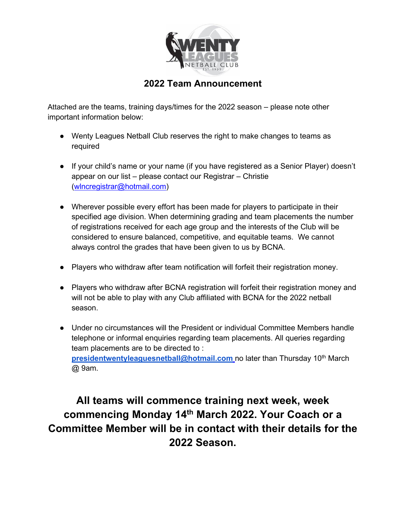

## **2022 Team Announcement**

Attached are the teams, training days/times for the 2022 season – please note other important information below:

- Wenty Leagues Netball Club reserves the right to make changes to teams as required
- If your child's name or your name (if you have registered as a Senior Player) doesn't appear on our list – please contact our Registrar – Christie [\(wlncregistrar@hotmail.com\)](mailto:wlncregistrar@hotmail.com)
- Wherever possible every effort has been made for players to participate in their specified age division. When determining grading and team placements the number of registrations received for each age group and the interests of the Club will be considered to ensure balanced, competitive, and equitable teams. We cannot always control the grades that have been given to us by BCNA.
- Players who withdraw after team notification will forfeit their registration money.
- Players who withdraw after BCNA registration will forfeit their registration money and will not be able to play with any Club affiliated with BCNA for the 2022 netball season.
- Under no circumstances will the President or individual Committee Members handle telephone or informal enquiries regarding team placements. All queries regarding team placements are to be directed to : **[presidentwentyleaguesnetball@hotmail.com](mailto:presidentwentyleaguesnetball@hotmail.com)** no later than Thursday 10<sup>th</sup> March @ 9am.

## **All teams will commence training next week, week commencing Monday 14th March 2022. Your Coach or a Committee Member will be in contact with their details for the 2022 Season.**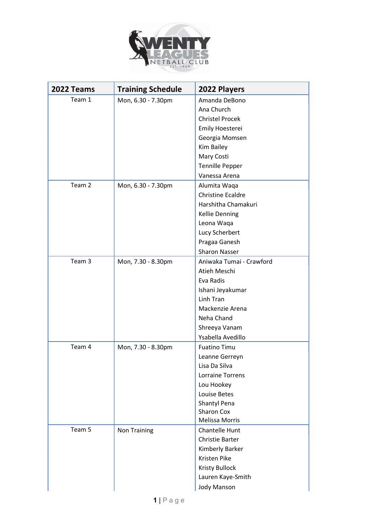

| 2022 Teams | <b>Training Schedule</b> | 2022 Players             |
|------------|--------------------------|--------------------------|
| Team 1     | Mon, 6.30 - 7.30pm       | Amanda DeBono            |
|            |                          | Ana Church               |
|            |                          | <b>Christel Procek</b>   |
|            |                          | Emily Hoesterei          |
|            |                          | Georgia Momsen           |
|            |                          | Kim Bailey               |
|            |                          | Mary Costi               |
|            |                          | <b>Tennille Pepper</b>   |
|            |                          | Vanessa Arena            |
| Team 2     | Mon, 6.30 - 7.30pm       | Alumita Waqa             |
|            |                          | <b>Christine Ecaldre</b> |
|            |                          | Harshitha Chamakuri      |
|            |                          | <b>Kellie Denning</b>    |
|            |                          | Leona Waqa               |
|            |                          | Lucy Scherbert           |
|            |                          | Pragaa Ganesh            |
|            |                          | <b>Sharon Nasser</b>     |
| Team 3     | Mon, 7.30 - 8.30pm       | Aniwaka Tumai - Crawford |
|            |                          | Atieh Meschi             |
|            |                          | Eva Radis                |
|            |                          | Ishani Jeyakumar         |
|            |                          | Linh Tran                |
|            |                          | Mackenzie Arena          |
|            |                          | Neha Chand               |
|            |                          | Shreeya Vanam            |
|            |                          | Ysabella Avedillo        |
| Team 4     | Mon, 7.30 - 8.30pm       | <b>Fuatino Timu</b>      |
|            |                          | Leanne Gerreyn           |
|            |                          | Lisa Da Silva            |
|            |                          | <b>Lorraine Torrens</b>  |
|            |                          | Lou Hookey               |
|            |                          | <b>Louise Betes</b>      |
|            |                          | Shantyl Pena             |
|            |                          | <b>Sharon Cox</b>        |
|            |                          | <b>Melissa Morris</b>    |
| Team 5     | Non Training             | Chantelle Hunt           |
|            |                          | <b>Christie Barter</b>   |
|            |                          | Kimberly Barker          |
|            |                          | <b>Kristen Pike</b>      |
|            |                          | <b>Kristy Bullock</b>    |
|            |                          | Lauren Kaye-Smith        |
|            |                          | <b>Jody Manson</b>       |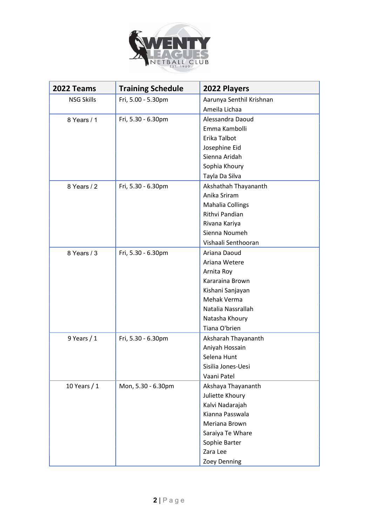

| 2022 Teams        | <b>Training Schedule</b> | 2022 Players             |
|-------------------|--------------------------|--------------------------|
| <b>NSG Skills</b> | Fri, 5.00 - 5.30pm       | Aarunya Senthil Krishnan |
|                   |                          | Ameila Lichaa            |
| 8 Years / 1       | Fri, 5.30 - 6.30pm       | Alessandra Daoud         |
|                   |                          | Emma Kambolli            |
|                   |                          | Erika Talbot             |
|                   |                          | Josephine Eid            |
|                   |                          | Sienna Aridah            |
|                   |                          | Sophia Khoury            |
|                   |                          | Tayla Da Silva           |
| 8 Years / 2       | Fri, 5.30 - 6.30pm       | Akshathah Thayananth     |
|                   |                          | Anika Sriram             |
|                   |                          | Mahalia Collings         |
|                   |                          | Rithvi Pandian           |
|                   |                          | Rivana Kariya            |
|                   |                          | Sienna Noumeh            |
|                   |                          | Vishaali Senthooran      |
| 8 Years / 3       | Fri, 5.30 - 6.30pm       | Ariana Daoud             |
|                   |                          | Ariana Wetere            |
|                   |                          | Arnita Roy               |
|                   |                          | Kararaina Brown          |
|                   |                          | Kishani Sanjayan         |
|                   |                          | Mehak Verma              |
|                   |                          | Natalia Nassrallah       |
|                   |                          | Natasha Khoury           |
|                   |                          | Tiana O'brien            |
| 9 Years $/1$      | Fri, 5.30 - 6.30pm       | Aksharah Thayananth      |
|                   |                          | Aniyah Hossain           |
|                   |                          | Selena Hunt              |
|                   |                          | Sisilia Jones-Uesi       |
|                   |                          | Vaani Patel              |
| 10 Years / 1      | Mon, 5.30 - 6.30pm       | Akshaya Thayananth       |
|                   |                          | Juliette Khoury          |
|                   |                          | Kalvi Nadarajah          |
|                   |                          | Kianna Passwala          |
|                   |                          | Meriana Brown            |
|                   |                          | Saraiya Te Whare         |
|                   |                          | Sophie Barter            |
|                   |                          | Zara Lee                 |
|                   |                          | Zoey Denning             |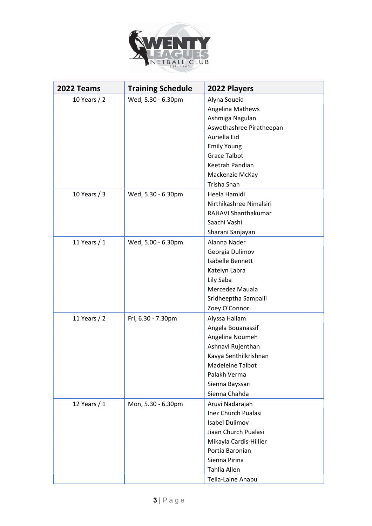

| 2022 Teams   | <b>Training Schedule</b> | 2022 Players               |
|--------------|--------------------------|----------------------------|
| 10 Years / 2 | Wed, 5.30 - 6.30pm       | Alyna Soueid               |
|              |                          | Angelina Mathews           |
|              |                          | Ashmiga Nagulan            |
|              |                          | Aswethashree Piratheepan   |
|              |                          | Auriella Eid               |
|              |                          | <b>Emily Young</b>         |
|              |                          | <b>Grace Talbot</b>        |
|              |                          | Keetrah Pandian            |
|              |                          | Mackenzie McKay            |
|              |                          | Trisha Shah                |
| 10 Years / 3 | Wed, 5.30 - 6.30pm       | Heela Hamidi               |
|              |                          | Nirthikashree Nimalsiri    |
|              |                          | RAHAVI Shanthakumar        |
|              |                          | Saachi Vashi               |
|              |                          | Sharani Sanjayan           |
| 11 Years / 1 | Wed, 5.00 - 6.30pm       | Alanna Nader               |
|              |                          | Georgia Dulimov            |
|              |                          | Isabelle Bennett           |
|              |                          | Katelyn Labra              |
|              |                          | Lily Saba                  |
|              |                          | Mercedez Mauala            |
|              |                          | Sridheeptha Sampalli       |
|              |                          | Zoey O'Connor              |
| 11 Years / 2 | Fri, 6.30 - 7.30pm       | Alyssa Hallam              |
|              |                          | Angela Bouanassif          |
|              |                          | Angelina Noumeh            |
|              |                          | Ashnavi Rujenthan          |
|              |                          | Kavya Senthilkrishnan      |
|              |                          | Madeleine Talbot           |
|              |                          | Palakh Verma               |
|              |                          | Sienna Bayssari            |
|              |                          | Sienna Chahda              |
| 12 Years / 1 | Mon, 5.30 - 6.30pm       | Aruvi Nadarajah            |
|              |                          | <b>Inez Church Pualasi</b> |
|              |                          | <b>Isabel Dulimov</b>      |
|              |                          | Jiaan Church Pualasi       |
|              |                          | Mikayla Cardis-Hillier     |
|              |                          | Portia Baronian            |
|              |                          | Sienna Pirina              |
|              |                          | Tahlia Allen               |
|              |                          | Teila-Laine Anapu          |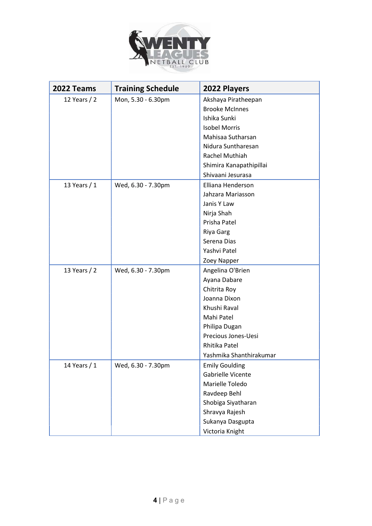

| 2022 Teams   | <b>Training Schedule</b> | 2022 Players            |
|--------------|--------------------------|-------------------------|
| 12 Years / 2 | Mon, 5.30 - 6.30pm       | Akshaya Piratheepan     |
|              |                          | <b>Brooke McInnes</b>   |
|              |                          | Ishika Sunki            |
|              |                          | <b>Isobel Morris</b>    |
|              |                          | Mahisaa Sutharsan       |
|              |                          | Nidura Suntharesan      |
|              |                          | <b>Rachel Muthiah</b>   |
|              |                          | Shimira Kanapathipillai |
|              |                          | Shivaani Jesurasa       |
| 13 Years / 1 | Wed, 6.30 - 7.30pm       | Elliana Henderson       |
|              |                          | Jahzara Mariasson       |
|              |                          | Janis Y Law             |
|              |                          | Nirja Shah              |
|              |                          | Prisha Patel            |
|              |                          | <b>Riya Garg</b>        |
|              |                          | Serena Dias             |
|              |                          | Yashvi Patel            |
|              |                          | Zoey Napper             |
| 13 Years / 2 | Wed, 6.30 - 7.30pm       | Angelina O'Brien        |
|              |                          | Ayana Dabare            |
|              |                          | Chitrita Roy            |
|              |                          | Joanna Dixon            |
|              |                          | Khushi Raval            |
|              |                          | Mahi Patel              |
|              |                          | Philipa Dugan           |
|              |                          | Precious Jones-Uesi     |
|              |                          | Rhitika Patel           |
|              |                          | Yashmika Shanthirakumar |
| 14 Years / 1 | Wed, 6.30 - 7.30pm       | <b>Emily Goulding</b>   |
|              |                          | Gabrielle Vicente       |
|              |                          | Marielle Toledo         |
|              |                          | Ravdeep Behl            |
|              |                          | Shobiga Siyatharan      |
|              |                          | Shravya Rajesh          |
|              |                          | Sukanya Dasgupta        |
|              |                          | Victoria Knight         |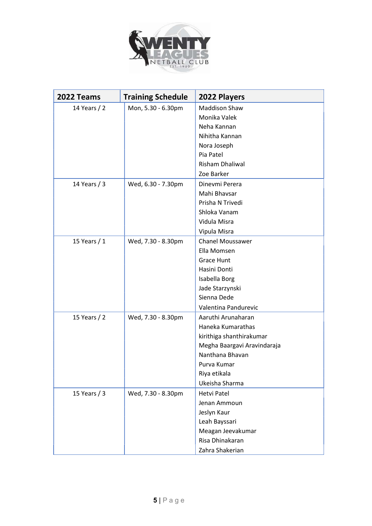

| 2022 Teams     | <b>Training Schedule</b> | 2022 Players                |
|----------------|--------------------------|-----------------------------|
| 14 Years / 2   | Mon, 5.30 - 6.30pm       | <b>Maddison Shaw</b>        |
|                |                          | Monika Valek                |
|                |                          | Neha Kannan                 |
|                |                          | Nihitha Kannan              |
|                |                          | Nora Joseph                 |
|                |                          | Pia Patel                   |
|                |                          | <b>Risham Dhaliwal</b>      |
|                |                          | Zoe Barker                  |
| 14 Years / 3   | Wed, 6.30 - 7.30pm       | Dinevmi Perera              |
|                |                          | Mahi Bhavsar                |
|                |                          | Prisha N Trivedi            |
|                |                          | Shloka Vanam                |
|                |                          | Vidula Misra                |
|                |                          | Vipula Misra                |
| 15 Years $/ 1$ | Wed, 7.30 - 8.30pm       | <b>Chanel Moussawer</b>     |
|                |                          | Ella Momsen                 |
|                |                          | <b>Grace Hunt</b>           |
|                |                          | Hasini Donti                |
|                |                          | Isabella Borg               |
|                |                          | Jade Starzynski             |
|                |                          | Sienna Dede                 |
|                |                          | Valentina Pandurevic        |
| 15 Years / 2   | Wed, 7.30 - 8.30pm       | Aaruthi Arunaharan          |
|                |                          | Haneka Kumarathas           |
|                |                          | kirithiga shanthirakumar    |
|                |                          | Megha Baargavi Aravindaraja |
|                |                          | Nanthana Bhavan             |
|                |                          | Purva Kumar                 |
|                |                          | Riya etikala                |
|                |                          | Ukeisha Sharma              |
| 15 Years $/3$  | Wed, 7.30 - 8.30pm       | Hetvi Patel                 |
|                |                          | Jenan Ammoun                |
|                |                          | Jeslyn Kaur                 |
|                |                          | Leah Bayssari               |
|                |                          | Meagan Jeevakumar           |
|                |                          | Risa Dhinakaran             |
|                |                          | Zahra Shakerian             |